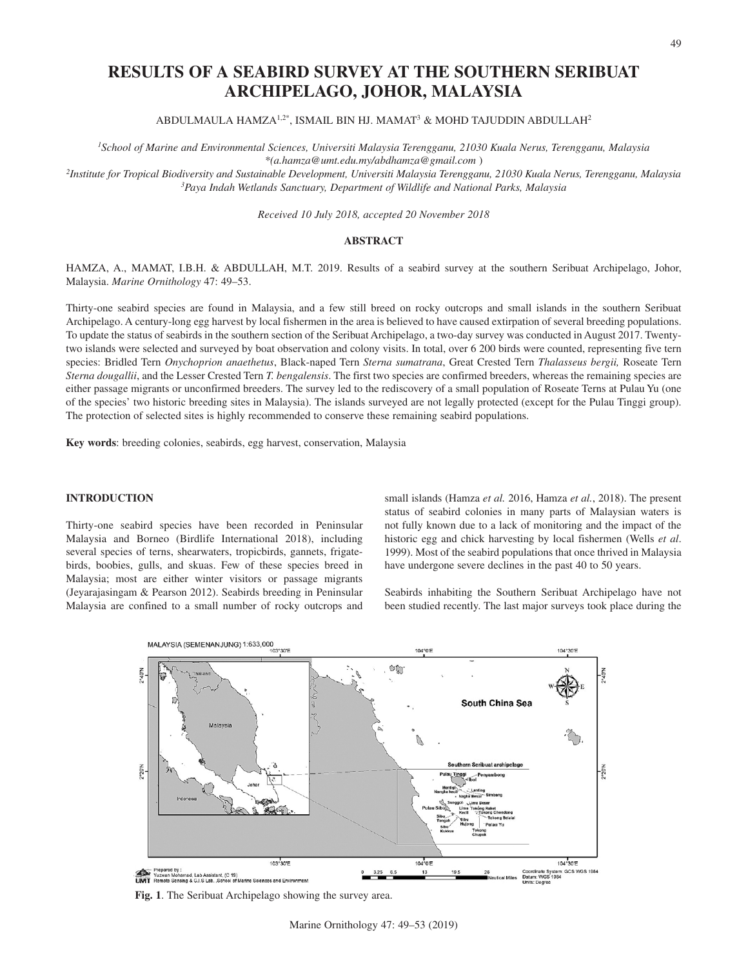# **RESULTS OF A SEABIRD SURVEY AT THE SOUTHERN SERIBUAT ARCHIPELAGO, JOHOR, MALAYSIA**

ABDULMAULA HAMZA<sup>1,2\*</sup>, ISMAIL BIN HJ. MAMAT<sup>3</sup> & MOHD TAJUDDIN ABDULLAH<sup>2</sup>

*1School of Marine and Environmental Sciences, Universiti Malaysia Terengganu, 21030 Kuala Nerus, Terengganu, Malaysia \*(a.hamza@umt.edu.my/abdhamza@gmail.com* )

*2 Institute for Tropical Biodiversity and Sustainable Development, Universiti Malaysia Terengganu, 21030 Kuala Nerus, Terengganu, Malaysia 3Paya Indah Wetlands Sanctuary, Department of Wildlife and National Parks, Malaysia* 

*Received 10 July 2018, accepted 20 November 2018*

### **ABSTRACT**

HAMZA, A., MAMAT, I.B.H. & ABDULLAH, M.T. 2019. Results of a seabird survey at the southern Seribuat Archipelago, Johor, Malaysia. *Marine Ornithology* 47: 49–53.

Thirty-one seabird species are found in Malaysia, and a few still breed on rocky outcrops and small islands in the southern Seribuat Archipelago. A century-long egg harvest by local fishermen in the area is believed to have caused extirpation of several breeding populations. To update the status of seabirds in the southern section of the Seribuat Archipelago, a two-day survey was conducted in August 2017. Twentytwo islands were selected and surveyed by boat observation and colony visits. In total, over 6 200 birds were counted, representing five tern species: Bridled Tern *Onychoprion anaethetus*, Black-naped Tern *Sterna sumatrana*, Great Crested Tern *Thalasseus bergii,* Roseate Tern *Sterna dougallii*, and the Lesser Crested Tern *T. bengalensis*. The first two species are confirmed breeders, whereas the remaining species are either passage migrants or unconfirmed breeders. The survey led to the rediscovery of a small population of Roseate Terns at Pulau Yu (one of the species' two historic breeding sites in Malaysia). The islands surveyed are not legally protected (except for the Pulau Tinggi group). The protection of selected sites is highly recommended to conserve these remaining seabird populations.

**Key words**: breeding colonies, seabirds, egg harvest, conservation, Malaysia

## **INTRODUCTION**

Thirty-one seabird species have been recorded in Peninsular Malaysia and Borneo (Birdlife International 2018), including several species of terns, shearwaters, tropicbirds, gannets, frigatebirds, boobies, gulls, and skuas. Few of these species breed in Malaysia; most are either winter visitors or passage migrants (Jeyarajasingam & Pearson 2012). Seabirds breeding in Peninsular Malaysia are confined to a small number of rocky outcrops and small islands (Hamza *et al.* 2016, Hamza *et al.*, 2018). The present status of seabird colonies in many parts of Malaysian waters is not fully known due to a lack of monitoring and the impact of the historic egg and chick harvesting by local fishermen (Wells *et al*. 1999). Most of the seabird populations that once thrived in Malaysia have undergone severe declines in the past 40 to 50 years.

Seabirds inhabiting the Southern Seribuat Archipelago have not been studied recently. The last major surveys took place during the



**Fig. 1**. The Seribuat Archipelago showing the survey area.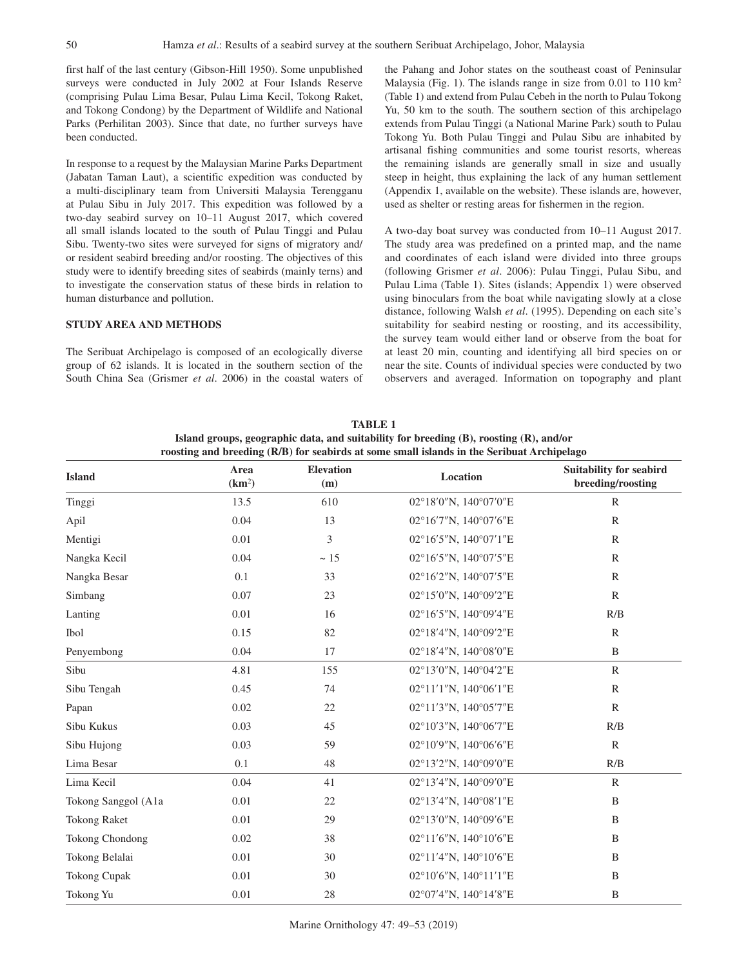first half of the last century (Gibson-Hill 1950). Some unpublished surveys were conducted in July 2002 at Four Islands Reserve (comprising Pulau Lima Besar, Pulau Lima Kecil, Tokong Raket, and Tokong Condong) by the Department of Wildlife and National Parks (Perhilitan 2003). Since that date, no further surveys have been conducted.

In response to a request by the Malaysian Marine Parks Department (Jabatan Taman Laut), a scientific expedition was conducted by a multi-disciplinary team from Universiti Malaysia Terengganu at Pulau Sibu in July 2017. This expedition was followed by a two-day seabird survey on 10–11 August 2017, which covered all small islands located to the south of Pulau Tinggi and Pulau Sibu. Twenty-two sites were surveyed for signs of migratory and/ or resident seabird breeding and/or roosting. The objectives of this study were to identify breeding sites of seabirds (mainly terns) and to investigate the conservation status of these birds in relation to human disturbance and pollution.

#### **STUDY AREA AND METHODS**

The Seribuat Archipelago is composed of an ecologically diverse group of 62 islands. It is located in the southern section of the South China Sea (Grismer *et al*. 2006) in the coastal waters of the Pahang and Johor states on the southeast coast of Peninsular Malaysia (Fig. 1). The islands range in size from 0.01 to 110 km2 (Table 1) and extend from Pulau Cebeh in the north to Pulau Tokong Yu, 50 km to the south. The southern section of this archipelago extends from Pulau Tinggi (a National Marine Park) south to Pulau Tokong Yu. Both Pulau Tinggi and Pulau Sibu are inhabited by artisanal fishing communities and some tourist resorts, whereas the remaining islands are generally small in size and usually steep in height, thus explaining the lack of any human settlement (Appendix 1, available on the website). These islands are, however, used as shelter or resting areas for fishermen in the region.

A two-day boat survey was conducted from 10–11 August 2017. The study area was predefined on a printed map, and the name and coordinates of each island were divided into three groups (following Grismer *et al*. 2006): Pulau Tinggi, Pulau Sibu, and Pulau Lima (Table 1). Sites (islands; Appendix 1) were observed using binoculars from the boat while navigating slowly at a close distance, following Walsh *et al*. (1995). Depending on each site's suitability for seabird nesting or roosting, and its accessibility, the survey team would either land or observe from the boat for at least 20 min, counting and identifying all bird species on or near the site. Counts of individual species were conducted by two observers and averaged. Information on topography and plant

**TABLE 1 Island groups, geographic data, and suitability for breeding (B), roosting (R), and/or roosting and breeding (R/B) for seabirds at some small islands in the Seribuat Archipelago**

| <b>Island</b>       | Area<br>(km <sup>2</sup> ) | <b>Elevation</b><br>(m) | Location                                    | <b>Suitability for seabird</b><br>breeding/roosting |  |  |
|---------------------|----------------------------|-------------------------|---------------------------------------------|-----------------------------------------------------|--|--|
| Tinggi              | 13.5                       | 610                     | 02°18'0"N, 140°07'0"E                       | $\mathbb{R}$                                        |  |  |
| Apil                | 0.04                       | 13                      | 02°16'7"N, 140°07'6"E                       | $\mathbb{R}$                                        |  |  |
| Mentigi             | 0.01                       | 3                       | 02°16'5"N, 140°07'1"E                       | $\mathbb{R}$                                        |  |  |
| Nangka Kecil        | 0.04                       | $\sim 15$               | 02°16'5"N, 140°07'5"E                       | $\mathbb{R}$                                        |  |  |
| Nangka Besar        | 0.1                        | 33                      | 02°16'2"N, 140°07'5"E                       | $\mathbb{R}$                                        |  |  |
| Simbang             | 0.07                       | 23                      | 02°15'0"N, 140°09'2"E                       | $\mathbb{R}$                                        |  |  |
| Lanting             | 0.01                       | 16                      | $02^{\circ}16'5''$ N, $140^{\circ}09'4''$ E | R/B                                                 |  |  |
| Ibol                | 0.15                       | 82                      | $02^{\circ}18'4''N$ , $140^{\circ}09'2''E$  | $\mathbb{R}$                                        |  |  |
| Penyembong          | 0.04                       | 17                      | 02°18'4"N, 140°08'0"E                       | B                                                   |  |  |
| Sibu                | 4.81                       | 155                     | 02°13'0"N, 140°04'2"E                       | $\mathbb{R}$                                        |  |  |
| Sibu Tengah         | 0.45                       | 74                      | 02°11'1"N, 140°06'1"E                       | $\mathbb{R}$                                        |  |  |
| Papan               | 0.02                       | 22                      | 02°11'3"N, 140°05'7"E                       | $\mathbb{R}$                                        |  |  |
| Sibu Kukus          | 0.03                       | 45                      | 02°10'3"N, 140°06'7"E                       | R/B                                                 |  |  |
| Sibu Hujong         | 0.03                       | 59                      | 02°10'9"N, 140°06'6"E                       | $\mathbb{R}$                                        |  |  |
| Lima Besar          | 0.1                        | 48                      | 02°13'2"N, 140°09'0"E                       | R/B                                                 |  |  |
| Lima Kecil          | 0.04                       | 41                      | 02°13'4"N, 140°09'0"E                       | $\mathbb{R}$                                        |  |  |
| Tokong Sanggol (A1a | 0.01                       | 22                      | 02°13'4"N, 140°08'1"E                       | B                                                   |  |  |
| <b>Tokong Raket</b> | 0.01                       | 29                      | 02°13'0"N, 140°09'6"E                       | B                                                   |  |  |
| Tokong Chondong     | 0.02                       | 38                      | 02°11'6"N, 140°10'6"E                       | B                                                   |  |  |
| Tokong Belalai      | 0.01                       | 30                      | 02°11'4"N, 140°10'6"E                       | B                                                   |  |  |
| Tokong Cupak        | 0.01                       | 30                      | $02^{\circ}10'6''$ N, $140^{\circ}11'1''$ E | B                                                   |  |  |
| Tokong Yu           | 0.01                       | $28\,$                  | 02°07'4"N, 140°14'8"E                       | $\, {\bf B}$                                        |  |  |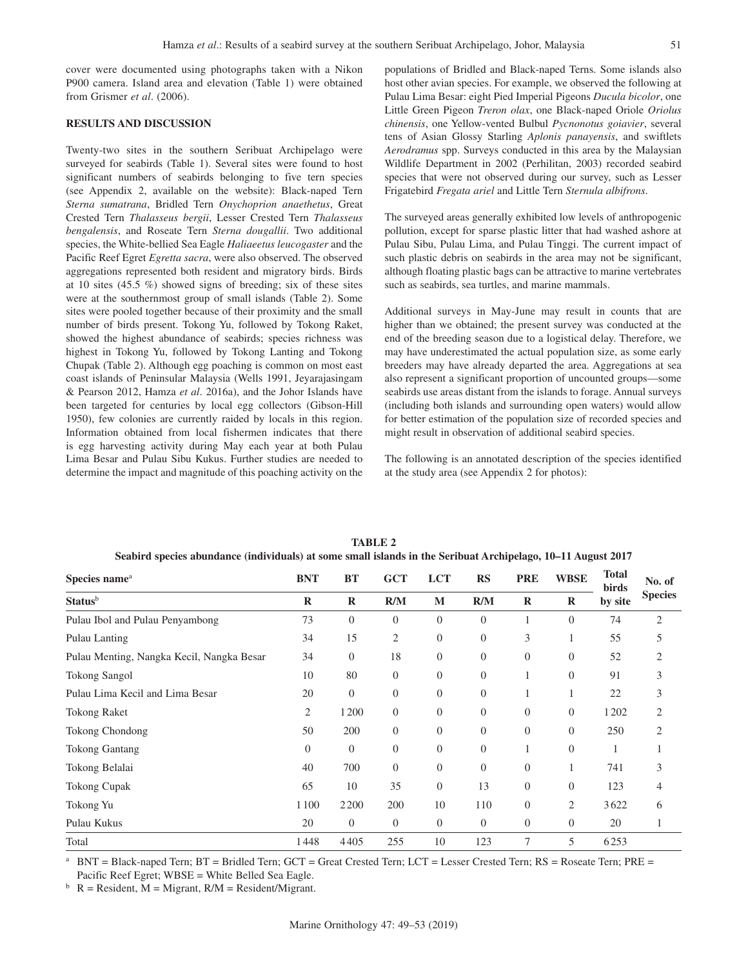cover were documented using photographs taken with a Nikon P900 camera. Island area and elevation (Table 1) were obtained from Grismer *et al*. (2006).

## **RESULTS AND DISCUSSION**

Twenty-two sites in the southern Seribuat Archipelago were surveyed for seabirds (Table 1). Several sites were found to host significant numbers of seabirds belonging to five tern species (see Appendix 2, available on the website): Black-naped Tern *Sterna sumatrana*, Bridled Tern *Onychoprion anaethetus*, Great Crested Tern *Thalasseus bergii*, Lesser Crested Tern *Thalasseus bengalensis*, and Roseate Tern *Sterna dougallii*. Two additional species, the White-bellied Sea Eagle *Haliaeetus leucogaster* and the Pacific Reef Egret *Egretta sacra*, were also observed. The observed aggregations represented both resident and migratory birds. Birds at 10 sites  $(45.5\%)$  showed signs of breeding; six of these sites were at the southernmost group of small islands (Table 2). Some sites were pooled together because of their proximity and the small number of birds present. Tokong Yu, followed by Tokong Raket, showed the highest abundance of seabirds; species richness was highest in Tokong Yu, followed by Tokong Lanting and Tokong Chupak (Table 2). Although egg poaching is common on most east coast islands of Peninsular Malaysia (Wells 1991, Jeyarajasingam & Pearson 2012, Hamza *et al*. 2016a), and the Johor Islands have been targeted for centuries by local egg collectors (Gibson-Hill 1950), few colonies are currently raided by locals in this region. Information obtained from local fishermen indicates that there is egg harvesting activity during May each year at both Pulau Lima Besar and Pulau Sibu Kukus. Further studies are needed to determine the impact and magnitude of this poaching activity on the populations of Bridled and Black-naped Terns. Some islands also host other avian species. For example, we observed the following at Pulau Lima Besar: eight Pied Imperial Pigeons *Ducula bicolor*, one Little Green Pigeon *Treron olax*, one Black-naped Oriole *Oriolus chinensis*, one Yellow-vented Bulbul *Pycnonotus goiavier*, several tens of Asian Glossy Starling *Aplonis panayensis*, and swiftlets *Aerodramus* spp. Surveys conducted in this area by the Malaysian Wildlife Department in 2002 (Perhilitan, 2003) recorded seabird species that were not observed during our survey, such as Lesser Frigatebird *Fregata ariel* and Little Tern *Sternula albifrons*.

The surveyed areas generally exhibited low levels of anthropogenic pollution, except for sparse plastic litter that had washed ashore at Pulau Sibu, Pulau Lima, and Pulau Tinggi. The current impact of such plastic debris on seabirds in the area may not be significant, although floating plastic bags can be attractive to marine vertebrates such as seabirds, sea turtles, and marine mammals.

Additional surveys in May-June may result in counts that are higher than we obtained; the present survey was conducted at the end of the breeding season due to a logistical delay. Therefore, we may have underestimated the actual population size, as some early breeders may have already departed the area. Aggregations at sea also represent a significant proportion of uncounted groups—some seabirds use areas distant from the islands to forage. Annual surveys (including both islands and surrounding open waters) would allow for better estimation of the population size of recorded species and might result in observation of additional seabird species.

The following is an annotated description of the species identified at the study area (see Appendix 2 for photos):

| Species name <sup>a</sup>                 | <b>BNT</b><br>$\mathbf R$ | <b>BT</b><br>$\bf R$ | <b>GCT</b><br>R/M | <b>LCT</b><br>M | <b>RS</b><br>R/M | <b>PRE</b><br>$\bf R$ | <b>WBSE</b><br>$\bf{R}$ | <b>Total</b><br>birds<br>by site | No. of<br><b>Species</b> |
|-------------------------------------------|---------------------------|----------------------|-------------------|-----------------|------------------|-----------------------|-------------------------|----------------------------------|--------------------------|
| <b>Status</b> <sup>b</sup>                |                           |                      |                   |                 |                  |                       |                         |                                  |                          |
| Pulau Ibol and Pulau Penyambong           | 73                        | $\Omega$             | $\mathbf{0}$      | $\overline{0}$  | $\Omega$         |                       | $\overline{0}$          | 74                               | $\overline{2}$           |
| Pulau Lanting                             | 34                        | 15                   | 2                 | $\overline{0}$  | $\overline{0}$   | 3                     |                         | 55                               | 5                        |
| Pulau Menting, Nangka Kecil, Nangka Besar | 34                        | $\overline{0}$       | 18                | $\overline{0}$  | $\overline{0}$   | $\overline{0}$        | $\overline{0}$          | 52                               | 2                        |
| <b>Tokong Sangol</b>                      | 10                        | 80                   | $\boldsymbol{0}$  | $\overline{0}$  | $\Omega$         |                       | $\Omega$                | 91                               | 3                        |
| Pulau Lima Kecil and Lima Besar           | 20                        | $\overline{0}$       | $\boldsymbol{0}$  | $\overline{0}$  | $\overline{0}$   |                       | 1                       | 22                               | 3                        |
| <b>Tokong Raket</b>                       | 2                         | 1200                 | $\overline{0}$    | $\overline{0}$  | $\overline{0}$   | $\overline{0}$        | $\overline{0}$          | 1202                             | 2                        |
| <b>Tokong Chondong</b>                    | 50                        | 200                  | $\boldsymbol{0}$  | $\overline{0}$  | $\overline{0}$   | $\boldsymbol{0}$      | $\overline{0}$          | 250                              | 2                        |
| <b>Tokong Gantang</b>                     | $\Omega$                  | $\Omega$             | $\overline{0}$    | $\Omega$        | $\Omega$         |                       | $\Omega$                |                                  |                          |
| Tokong Belalai                            | 40                        | 700                  | $\boldsymbol{0}$  | $\overline{0}$  | $\overline{0}$   | $\boldsymbol{0}$      |                         | 741                              | 3                        |
| <b>Tokong Cupak</b>                       | 65                        | 10                   | 35                | $\overline{0}$  | 13               | $\boldsymbol{0}$      | $\overline{0}$          | 123                              | 4                        |
| Tokong Yu                                 | 1100                      | 2200                 | 200               | 10              | 110              | $\overline{0}$        | $\overline{2}$          | 3622                             | 6                        |
| Pulau Kukus                               | 20                        | $\overline{0}$       | $\overline{0}$    | $\overline{0}$  | $\theta$         | $\boldsymbol{0}$      | $\overline{0}$          | 20                               | 1                        |
| Total                                     | 1448                      | 4405                 | 255               | 10              | 123              | 7                     | 5                       | 6253                             |                          |

**TABLE 2 Seabird species abundance (individuals) at some small islands in the Seribuat Archipelago, 10–11 August 2017**

<sup>a</sup> BNT = Black-naped Tern; BT = Bridled Tern; GCT = Great Crested Tern; LCT = Lesser Crested Tern; RS = Roseate Tern; PRE =

Pacific Reef Egret; WBSE = White Belled Sea Eagle.<br>b  $R =$  Resident, M = Migrant, R/M = Resident/Migrant.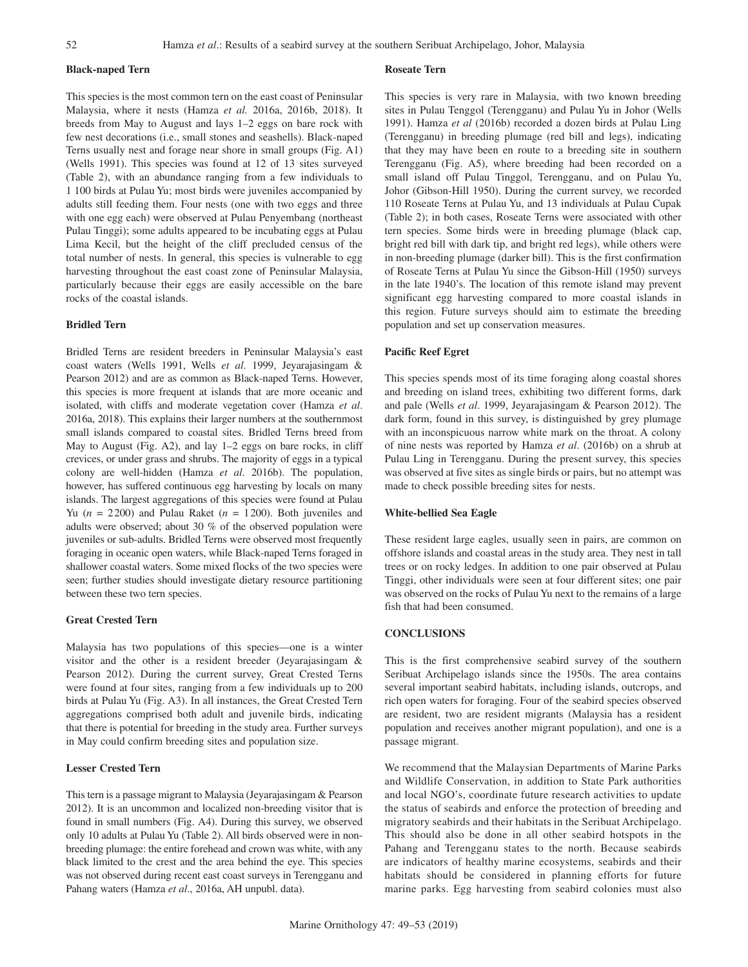### **Black-naped Tern**

This species is the most common tern on the east coast of Peninsular Malaysia, where it nests (Hamza *et al.* 2016a, 2016b, 2018). It breeds from May to August and lays 1–2 eggs on bare rock with few nest decorations (i.e., small stones and seashells). Black-naped Terns usually nest and forage near shore in small groups (Fig. A1) (Wells 1991). This species was found at 12 of 13 sites surveyed (Table 2), with an abundance ranging from a few individuals to 1 100 birds at Pulau Yu; most birds were juveniles accompanied by adults still feeding them. Four nests (one with two eggs and three with one egg each) were observed at Pulau Penyembang (northeast Pulau Tinggi); some adults appeared to be incubating eggs at Pulau Lima Kecil, but the height of the cliff precluded census of the total number of nests. In general, this species is vulnerable to egg harvesting throughout the east coast zone of Peninsular Malaysia, particularly because their eggs are easily accessible on the bare rocks of the coastal islands.

#### **Bridled Tern**

Bridled Terns are resident breeders in Peninsular Malaysia's east coast waters (Wells 1991, Wells *et al*. 1999, Jeyarajasingam & Pearson 2012) and are as common as Black-naped Terns. However, this species is more frequent at islands that are more oceanic and isolated, with cliffs and moderate vegetation cover (Hamza *et al*. 2016a, 2018). This explains their larger numbers at the southernmost small islands compared to coastal sites. Bridled Terns breed from May to August (Fig. A2), and lay 1–2 eggs on bare rocks, in cliff crevices, or under grass and shrubs. The majority of eggs in a typical colony are well-hidden (Hamza *et al*. 2016b). The population, however, has suffered continuous egg harvesting by locals on many islands. The largest aggregations of this species were found at Pulau Yu  $(n = 2200)$  and Pulau Raket  $(n = 1200)$ . Both juveniles and adults were observed; about 30 % of the observed population were juveniles or sub-adults. Bridled Terns were observed most frequently foraging in oceanic open waters, while Black-naped Terns foraged in shallower coastal waters. Some mixed flocks of the two species were seen; further studies should investigate dietary resource partitioning between these two tern species.

## **Great Crested Tern**

Malaysia has two populations of this species—one is a winter visitor and the other is a resident breeder (Jeyarajasingam & Pearson 2012). During the current survey, Great Crested Terns were found at four sites, ranging from a few individuals up to 200 birds at Pulau Yu (Fig. A3). In all instances, the Great Crested Tern aggregations comprised both adult and juvenile birds, indicating that there is potential for breeding in the study area. Further surveys in May could confirm breeding sites and population size.

# **Lesser Crested Tern**

This tern is a passage migrant to Malaysia (Jeyarajasingam & Pearson 2012). It is an uncommon and localized non-breeding visitor that is found in small numbers (Fig. A4). During this survey, we observed only 10 adults at Pulau Yu (Table 2). All birds observed were in nonbreeding plumage: the entire forehead and crown was white, with any black limited to the crest and the area behind the eye. This species was not observed during recent east coast surveys in Terengganu and Pahang waters (Hamza *et al*., 2016a, AH unpubl. data).

#### **Roseate Tern**

This species is very rare in Malaysia, with two known breeding sites in Pulau Tenggol (Terengganu) and Pulau Yu in Johor (Wells 1991). Hamza *et al* (2016b) recorded a dozen birds at Pulau Ling (Terengganu) in breeding plumage (red bill and legs), indicating that they may have been en route to a breeding site in southern Terengganu (Fig. A5), where breeding had been recorded on a small island off Pulau Tinggol, Terengganu, and on Pulau Yu, Johor (Gibson-Hill 1950). During the current survey, we recorded 110 Roseate Terns at Pulau Yu, and 13 individuals at Pulau Cupak (Table 2); in both cases, Roseate Terns were associated with other tern species. Some birds were in breeding plumage (black cap, bright red bill with dark tip, and bright red legs), while others were in non-breeding plumage (darker bill). This is the first confirmation of Roseate Terns at Pulau Yu since the Gibson-Hill (1950) surveys in the late 1940's. The location of this remote island may prevent significant egg harvesting compared to more coastal islands in this region. Future surveys should aim to estimate the breeding population and set up conservation measures.

#### **Pacific Reef Egret**

This species spends most of its time foraging along coastal shores and breeding on island trees, exhibiting two different forms, dark and pale (Wells *et al*. 1999, Jeyarajasingam & Pearson 2012). The dark form, found in this survey, is distinguished by grey plumage with an inconspicuous narrow white mark on the throat. A colony of nine nests was reported by Hamza *et al*. (2016b) on a shrub at Pulau Ling in Terengganu. During the present survey, this species was observed at five sites as single birds or pairs, but no attempt was made to check possible breeding sites for nests.

#### **White-bellied Sea Eagle**

These resident large eagles, usually seen in pairs, are common on offshore islands and coastal areas in the study area. They nest in tall trees or on rocky ledges. In addition to one pair observed at Pulau Tinggi, other individuals were seen at four different sites; one pair was observed on the rocks of Pulau Yu next to the remains of a large fish that had been consumed.

## **CONCLUSIONS**

This is the first comprehensive seabird survey of the southern Seribuat Archipelago islands since the 1950s. The area contains several important seabird habitats, including islands, outcrops, and rich open waters for foraging. Four of the seabird species observed are resident, two are resident migrants (Malaysia has a resident population and receives another migrant population), and one is a passage migrant.

We recommend that the Malaysian Departments of Marine Parks and Wildlife Conservation, in addition to State Park authorities and local NGO's, coordinate future research activities to update the status of seabirds and enforce the protection of breeding and migratory seabirds and their habitats in the Seribuat Archipelago. This should also be done in all other seabird hotspots in the Pahang and Terengganu states to the north. Because seabirds are indicators of healthy marine ecosystems, seabirds and their habitats should be considered in planning efforts for future marine parks. Egg harvesting from seabird colonies must also